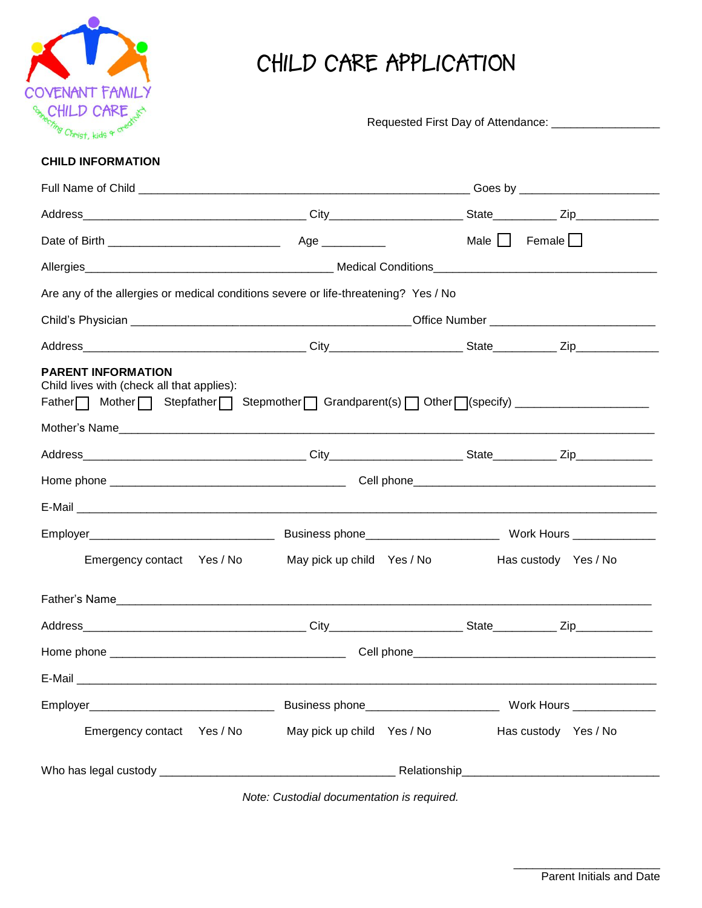

# **CHILD CARE APPLICATION**

| $V$ $V$ $V$ $V$ $V$<br>meeting Christ, kids a credit                                |                            |                                           |  |
|-------------------------------------------------------------------------------------|----------------------------|-------------------------------------------|--|
| <b>CHILD INFORMATION</b>                                                            |                            |                                           |  |
|                                                                                     |                            |                                           |  |
|                                                                                     |                            |                                           |  |
|                                                                                     |                            | Male $\Box$ Female $\Box$                 |  |
|                                                                                     |                            |                                           |  |
| Are any of the allergies or medical conditions severe or life-threatening? Yes / No |                            |                                           |  |
|                                                                                     |                            |                                           |  |
|                                                                                     |                            |                                           |  |
| <b>PARENT INFORMATION</b><br>Child lives with (check all that applies):             |                            |                                           |  |
|                                                                                     |                            |                                           |  |
|                                                                                     |                            |                                           |  |
|                                                                                     |                            |                                           |  |
|                                                                                     |                            |                                           |  |
|                                                                                     |                            |                                           |  |
| Emergency contact Yes / No                                                          | May pick up child Yes / No | Has custody Yes / No                      |  |
|                                                                                     |                            |                                           |  |
| Address                                                                             |                            | State____________<br>$Zip$ <sub>___</sub> |  |
|                                                                                     |                            |                                           |  |
|                                                                                     |                            |                                           |  |
|                                                                                     |                            |                                           |  |
| Emergency contact Yes / No                                                          | May pick up child Yes / No | Has custody Yes / No                      |  |
|                                                                                     |                            |                                           |  |

*Note: Custodial documentation is required.*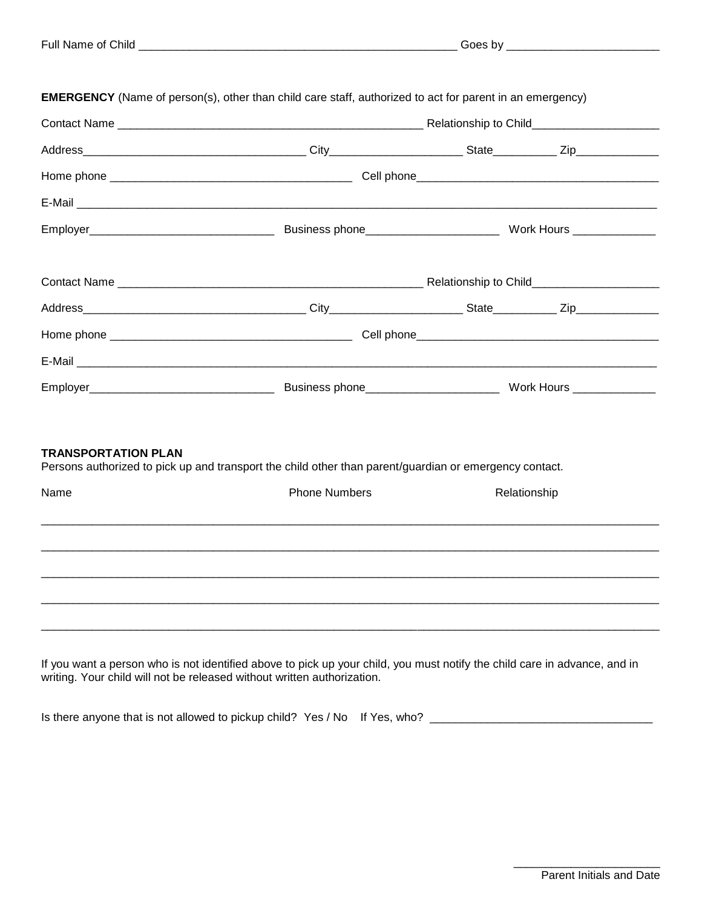| E-Mail experience and the contract of the contract of the contract of the contract of the contract of the contract of the contract of the contract of the contract of the contract of the contract of the contract of the cont |                                                                                                        |  |  |
|--------------------------------------------------------------------------------------------------------------------------------------------------------------------------------------------------------------------------------|--------------------------------------------------------------------------------------------------------|--|--|
|                                                                                                                                                                                                                                |                                                                                                        |  |  |
|                                                                                                                                                                                                                                |                                                                                                        |  |  |
|                                                                                                                                                                                                                                |                                                                                                        |  |  |
|                                                                                                                                                                                                                                |                                                                                                        |  |  |
|                                                                                                                                                                                                                                |                                                                                                        |  |  |
|                                                                                                                                                                                                                                |                                                                                                        |  |  |
|                                                                                                                                                                                                                                |                                                                                                        |  |  |
|                                                                                                                                                                                                                                |                                                                                                        |  |  |
|                                                                                                                                                                                                                                |                                                                                                        |  |  |
| <b>TRANSPORTATION PLAN</b>                                                                                                                                                                                                     | Persons authorized to pick up and transport the child other than parent/guardian or emergency contact. |  |  |

| Name | <b>Phone Numbers</b> | Relationship |  |
|------|----------------------|--------------|--|
|      |                      |              |  |
|      |                      |              |  |
|      |                      |              |  |
|      |                      |              |  |
|      |                      |              |  |
|      |                      |              |  |
|      |                      |              |  |

If you want a person who is not identified above to pick up your child, you must notify the child care in advance, and in writing. Your child will not be released without written authorization.

Is there anyone that is not allowed to pickup child? Yes / No If Yes, who? \_\_\_\_\_\_\_\_\_\_\_\_\_\_\_\_\_\_\_\_\_\_\_\_\_\_\_\_\_\_\_\_\_\_\_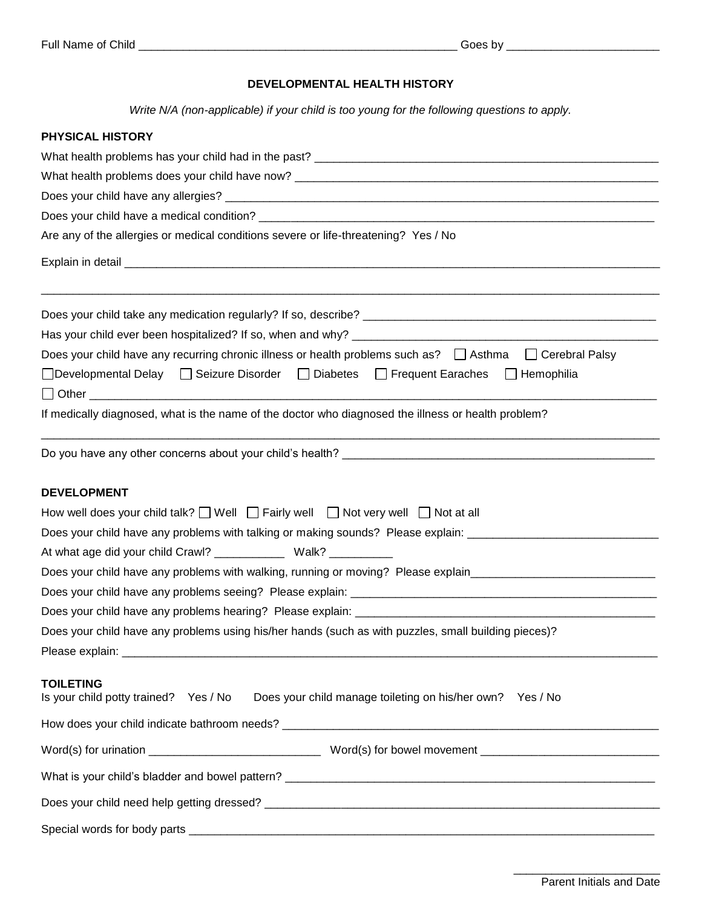### **DEVELOPMENTAL HEALTH HISTORY**

*Write N/A (non-applicable) if your child is too young for the following questions to apply.*

| PHYSICAL HISTORY                                                                                                    |  |  |  |
|---------------------------------------------------------------------------------------------------------------------|--|--|--|
|                                                                                                                     |  |  |  |
|                                                                                                                     |  |  |  |
|                                                                                                                     |  |  |  |
| Are any of the allergies or medical conditions severe or life-threatening? Yes / No                                 |  |  |  |
|                                                                                                                     |  |  |  |
|                                                                                                                     |  |  |  |
|                                                                                                                     |  |  |  |
| Does your child have any recurring chronic illness or health problems such as? □ Asthma □ Cerebral Palsy            |  |  |  |
| □Developmental Delay □ Seizure Disorder □ Diabetes □ Frequent Earaches □ Hemophilia                                 |  |  |  |
|                                                                                                                     |  |  |  |
| If medically diagnosed, what is the name of the doctor who diagnosed the illness or health problem?                 |  |  |  |
|                                                                                                                     |  |  |  |
| <b>DEVELOPMENT</b>                                                                                                  |  |  |  |
| How well does your child talk? $\Box$ Well $\Box$ Fairly well $\Box$ Not very well $\Box$ Not at all                |  |  |  |
| Does your child have any problems with talking or making sounds? Please explain: _____________________________      |  |  |  |
| At what age did your child Crawl? ________________ Walk? ___________                                                |  |  |  |
| Does your child have any problems with walking, running or moving? Please explain_____________________________      |  |  |  |
|                                                                                                                     |  |  |  |
|                                                                                                                     |  |  |  |
| Does your child have any problems using his/her hands (such as with puzzles, small building pieces)?                |  |  |  |
|                                                                                                                     |  |  |  |
| <b>TOILETING</b><br>Is your child potty trained? Yes / No Does your child manage toileting on his/her own? Yes / No |  |  |  |
|                                                                                                                     |  |  |  |
|                                                                                                                     |  |  |  |
|                                                                                                                     |  |  |  |
|                                                                                                                     |  |  |  |
|                                                                                                                     |  |  |  |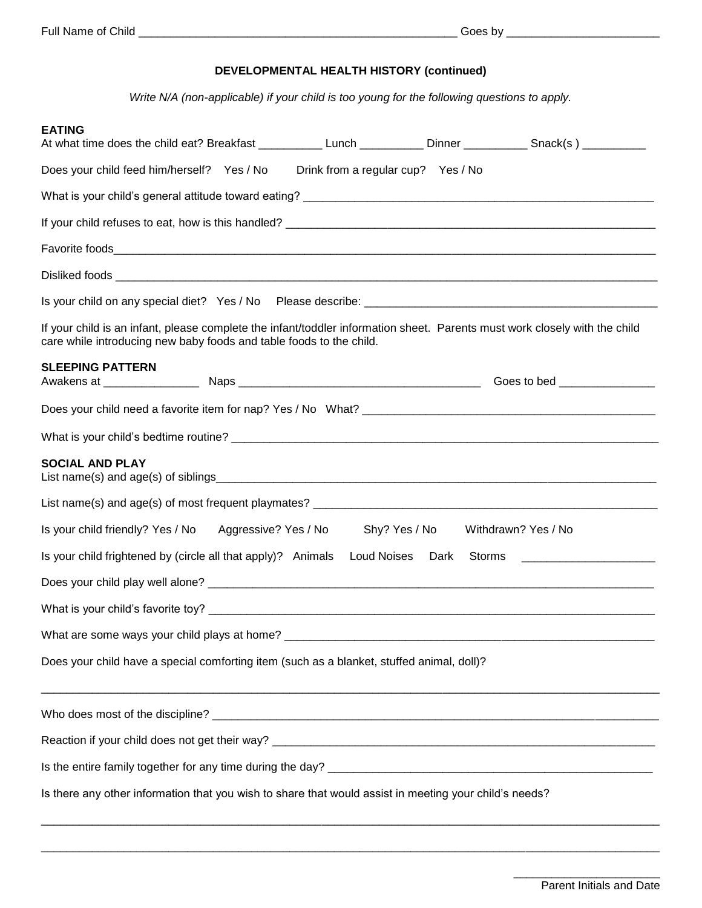### **DEVELOPMENTAL HEALTH HISTORY (continued)**

*Write N/A (non-applicable) if your child is too young for the following questions to apply.*

| <b>EATING</b><br>At what time does the child eat? Breakfast _____________Lunch ____________Dinner ___________Snack(s) _________                                                                   |  |                                    |                                   |                              |
|---------------------------------------------------------------------------------------------------------------------------------------------------------------------------------------------------|--|------------------------------------|-----------------------------------|------------------------------|
| Does your child feed him/herself? Yes / No                                                                                                                                                        |  | Drink from a regular cup? Yes / No |                                   |                              |
|                                                                                                                                                                                                   |  |                                    |                                   |                              |
|                                                                                                                                                                                                   |  |                                    |                                   |                              |
|                                                                                                                                                                                                   |  |                                    |                                   |                              |
|                                                                                                                                                                                                   |  |                                    |                                   |                              |
|                                                                                                                                                                                                   |  |                                    |                                   |                              |
| If your child is an infant, please complete the infant/toddler information sheet. Parents must work closely with the child<br>care while introducing new baby foods and table foods to the child. |  |                                    |                                   |                              |
| <b>SLEEPING PATTERN</b>                                                                                                                                                                           |  |                                    |                                   | Goes to bed ________________ |
|                                                                                                                                                                                                   |  |                                    |                                   |                              |
|                                                                                                                                                                                                   |  |                                    |                                   |                              |
| <b>SOCIAL AND PLAY</b>                                                                                                                                                                            |  |                                    |                                   |                              |
|                                                                                                                                                                                                   |  |                                    |                                   |                              |
| Is your child friendly? Yes / No Aggressive? Yes / No                                                                                                                                             |  |                                    | Shy? Yes / No Withdrawn? Yes / No |                              |
| Is your child frightened by (circle all that apply)? Animals<br>Loud Noises Dark<br>Storms<br><u> 1989 - Jan Barnett, fransk politik (d. 1989)</u>                                                |  |                                    |                                   |                              |
|                                                                                                                                                                                                   |  |                                    |                                   |                              |
|                                                                                                                                                                                                   |  |                                    |                                   |                              |
|                                                                                                                                                                                                   |  |                                    |                                   |                              |
| Does your child have a special comforting item (such as a blanket, stuffed animal, doll)?                                                                                                         |  |                                    |                                   |                              |
|                                                                                                                                                                                                   |  |                                    |                                   |                              |
|                                                                                                                                                                                                   |  |                                    |                                   |                              |
|                                                                                                                                                                                                   |  |                                    |                                   |                              |
| Is there any other information that you wish to share that would assist in meeting your child's needs?                                                                                            |  |                                    |                                   |                              |

 $\Box$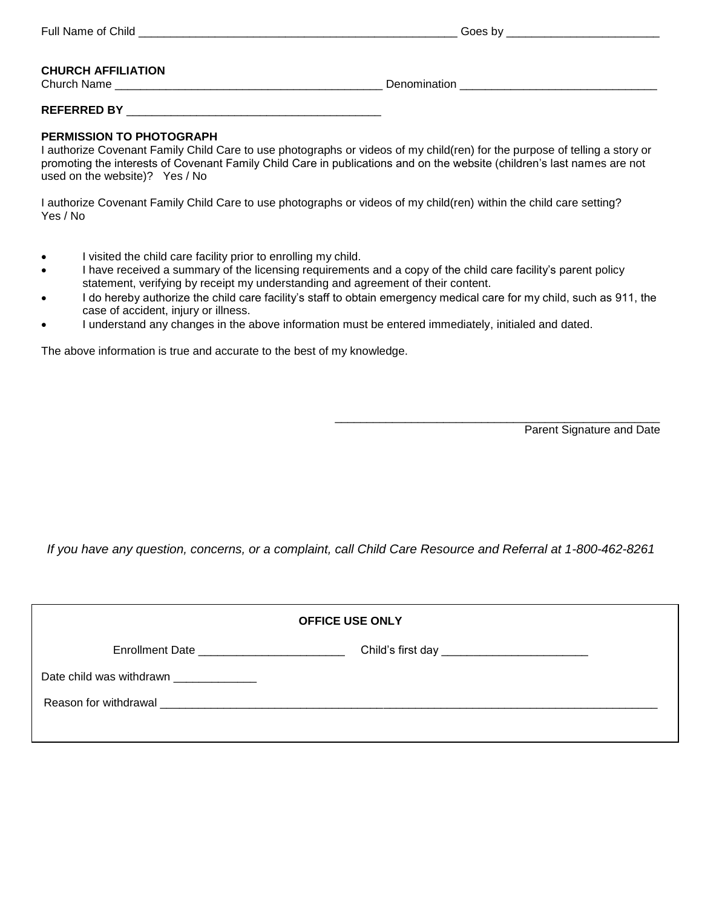| Full<br>Child<br>N9.<br>.<br>,,, | w |
|----------------------------------|---|
|                                  |   |
|                                  |   |

#### **CHURCH AFFILIATION** Church Name **Church Name Name Example 2** and the contract of the Denomination **Church Name Church Church Church Church Church Church Church Church Church Church Church Church Church Church**

**REFERRED BY** \_\_\_\_\_\_\_\_\_\_\_\_\_\_\_\_\_\_\_\_\_\_\_\_\_\_\_\_\_\_\_\_\_\_\_\_\_\_\_\_

#### **PERMISSION TO PHOTOGRAPH**

I authorize Covenant Family Child Care to use photographs or videos of my child(ren) for the purpose of telling a story or promoting the interests of Covenant Family Child Care in publications and on the website (children's last names are not used on the website)? Yes / No

I authorize Covenant Family Child Care to use photographs or videos of my child(ren) within the child care setting? Yes / No

- I visited the child care facility prior to enrolling my child.
- I have received a summary of the licensing requirements and a copy of the child care facility's parent policy statement, verifying by receipt my understanding and agreement of their content.
- I do hereby authorize the child care facility's staff to obtain emergency medical care for my child, such as 911, the case of accident, injury or illness.
- I understand any changes in the above information must be entered immediately, initialed and dated.

The above information is true and accurate to the best of my knowledge.

Parent Signature and Date

\_\_\_\_\_\_\_\_\_\_\_\_\_\_\_\_\_\_\_\_\_\_\_\_\_\_\_\_\_\_\_\_\_\_\_\_\_\_\_\_\_\_\_\_\_\_\_\_\_\_\_

*If you have any question, concerns, or a complaint, call Child Care Resource and Referral at 1-800-462-8261*

| <b>OFFICE USE ONLY</b>                      |                                                  |  |
|---------------------------------------------|--------------------------------------------------|--|
| Enrollment Date ___________________________ | Child's first day ______________________________ |  |
| Date child was withdrawn _____________      |                                                  |  |
|                                             |                                                  |  |
|                                             |                                                  |  |